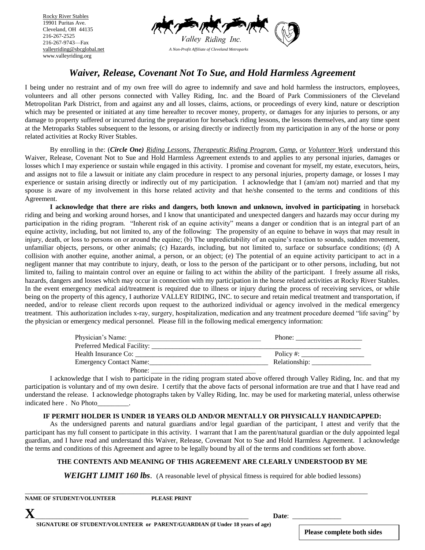216-267-9743—Fax Rocky River Stables 19901 Puritas Ave. Cleveland, OH 44135 216-267-2525 [valleyriding@sbcglobal.net](mailto:valleyriding@sbcglobal.net) www.valleyriding.org



# *Waiver, Release, Covenant Not To Sue, and Hold Harmless Agreement*

I being under no restraint and of my own free will do agree to indemnify and save and hold harmless the instructors, employees, volunteers and all other persons connected with Valley Riding, Inc. and the Board of Park Commissioners of the Cleveland Metropolitan Park District, from and against any and all losses, claims, actions, or proceedings of every kind, nature or description which may be presented or initiated at any time hereafter to recover money, property, or damages for any injuries to persons, or any damage to property suffered or incurred during the preparation for horseback riding lessons, the lessons themselves, and any time spent at the Metroparks Stables subsequent to the lessons, or arising directly or indirectly from my participation in any of the horse or pony related activities at Rocky River Stables.

By enrolling in the: (*Circle One) Riding Lessons, Therapeutic Riding Program, Camp, or Volunteer Work* understand this Waiver, Release, Covenant Not to Sue and Hold Harmless Agreement extends to and applies to any personal injuries, damages or losses which I may experience or sustain while engaged in this activity. I promise and covenant for myself, my estate, executors, heirs, and assigns not to file a lawsuit or initiate any claim procedure in respect to any personal injuries, property damage, or losses I may experience or sustain arising directly or indirectly out of my participation. I acknowledge that I (am/am not) married and that my spouse is aware of my involvement in this horse related activity and that he/she consented to the terms and conditions of this Agreement.

**I acknowledge that there are risks and dangers, both known and unknown, involved in participating** in horseback riding and being and working around horses, and I know that unanticipated and unexpected dangers and hazards may occur during my participation in the riding program. "Inherent risk of an equine activity" means a danger or condition that is an integral part of an equine activity, including, but not limited to, any of the following: The propensity of an equine to behave in ways that may result in injury, death, or loss to persons on or around the equine; (b) The unpredictability of an equine's reaction to sounds, sudden movement, unfamiliar objects, persons, or other animals; (c) Hazards, including, but not limited to, surface or subsurface conditions; (d) A collision with another equine, another animal, a person, or an object; (e) The potential of an equine activity participant to act in a negligent manner that may contribute to injury, death, or loss to the person of the participant or to other persons, including, but not limited to, failing to maintain control over an equine or failing to act within the ability of the participant. I freely assume all risks, hazards, dangers and losses which may occur in connection with my participation in the horse related activities at Rocky River Stables. In the event emergency medical aid/treatment is required due to illness or injury during the process of receiving services, or while being on the property of this agency, I authorize VALLEY RIDING, INC. to secure and retain medical treatment and transportation, if needed, and/or to release client records upon request to the authorized individual or agency involved in the medical emergency treatment. This authorization includes x-ray, surgery, hospitalization, medication and any treatment procedure deemed "life saving" by the physician or emergency medical personnel. Please fill in the following medical emergency information:

| Physician's Name:       | Phone:        |
|-------------------------|---------------|
|                         |               |
| Health Insurance Co:    | Policy #:     |
| Emergency Contact Name: | Relationship: |
| Phone:                  |               |

I acknowledge that I wish to participate in the riding program stated above offered through Valley Riding, Inc. and that my participation is voluntary and of my own desire. I certify that the above facts of personal information are true and that I have read and understand the release. I acknowledge photographs taken by Valley Riding, Inc. may be used for marketing material, unless otherwise indicated here . No Photo\_\_\_\_\_\_\_\_\_.

#### **IF PERMIT HOLDER IS UNDER 18 YEARS OLD AND/OR MENTALLY OR PHYSICALLY HANDICAPPED:**

As the undersigned parents and natural guardians and/or legal guardian of the participant, I attest and verify that the participant has my full consent to participate in this activity. I warrant that I am the parent/natural guardian or the duly appointed legal guardian, and I have read and understand this Waiver, Release, Covenant Not to Sue and Hold Harmless Agreement. I acknowledge the terms and conditions of this Agreement and agree to be legally bound by all of the terms and conditions set forth above.

#### **THE CONTENTS AND MEANING OF THIS AGREEMENT ARE CLEARLY UNDERSTOOD BY ME**

**WEIGHT LIMIT 160 lbs.** (A reasonable level of physical fitness is required for able bodied lessons)

\_\_\_\_\_\_\_\_\_\_\_\_\_\_\_\_\_\_\_\_\_\_\_\_\_\_\_\_\_\_\_\_\_\_\_\_\_\_\_\_\_\_\_\_\_\_\_\_\_\_\_\_\_\_\_\_\_\_\_\_\_\_\_\_\_\_\_\_\_\_\_\_\_\_\_\_\_\_\_\_\_\_\_\_\_\_\_\_\_\_\_\_\_\_\_\_\_\_ **NAME OF STUDENT PLEASE PRINT** 

**X**\_\_\_\_\_\_\_\_\_\_\_\_\_\_\_\_\_\_\_\_\_\_\_\_\_\_\_\_\_\_\_\_\_\_\_\_\_\_\_\_\_\_\_\_\_\_\_\_\_\_\_\_\_\_\_\_\_\_\_\_\_ **Date**: \_\_\_\_\_\_\_\_\_\_\_\_\_\_

**Please complete both sides**